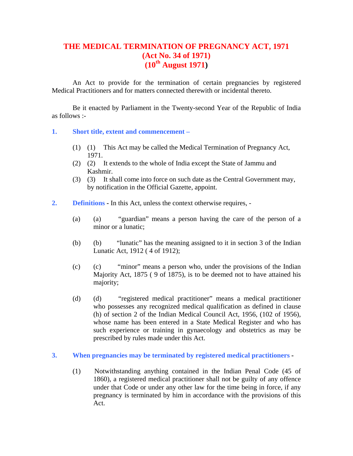# **THE MEDICAL TERMINATION OF PREGNANCY ACT, 1971 (Act No. 34 of 1971) (10th August 1971)**

An Act to provide for the termination of certain pregnancies by registered Medical Practitioners and for matters connected therewith or incidental thereto.

Be it enacted by Parliament in the Twenty-second Year of the Republic of India as follows :-

#### **1. Short title, extent and commencement –**

- (1) (1) This Act may be called the Medical Termination of Pregnancy Act, 1971.
- (2) (2) It extends to the whole of India except the State of Jammu and Kashmir.
- (3) (3) It shall come into force on such date as the Central Government may, by notification in the Official Gazette, appoint.
- **2. Definitions** In this Act, unless the context otherwise requires,
	- (a) (a) "guardian" means a person having the care of the person of a minor or a lunatic;
	- (b) (b) "lunatic" has the meaning assigned to it in section 3 of the Indian Lunatic Act, 1912 ( 4 of 1912);
	- (c) (c) "minor" means a person who, under the provisions of the Indian Majority Act, 1875 ( 9 of 1875), is to be deemed not to have attained his majority;
	- (d) (d) "registered medical practitioner" means a medical practitioner who possesses any recognized medical qualification as defined in clause (h) of section 2 of the Indian Medical Council Act, 1956, (102 of 1956), whose name has been entered in a State Medical Register and who has such experience or training in gynaecology and obstetrics as may be prescribed by rules made under this Act.

## **3. When pregnancies may be terminated by registered medical practitioners -**

(1) Notwithstanding anything contained in the Indian Penal Code (45 of 1860), a registered medical practitioner shall not be guilty of any offence under that Code or under any other law for the time being in force, if any pregnancy is terminated by him in accordance with the provisions of this Act.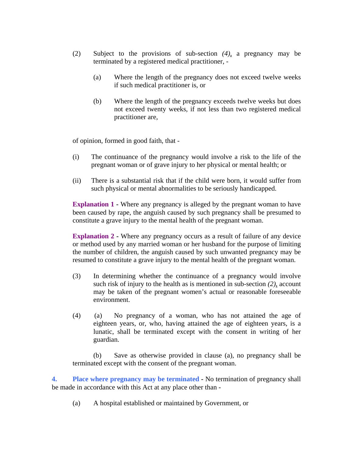- (2) Subject to the provisions of sub-section *(4)*, a pregnancy may be terminated by a registered medical practitioner, -
	- (a) Where the length of the pregnancy does not exceed twelve weeks if such medical practitioner is, or
	- (b) Where the length of the pregnancy exceeds twelve weeks but does not exceed twenty weeks, if not less than two registered medical practitioner are,

of opinion, formed in good faith, that -

- (i) The continuance of the pregnancy would involve a risk to the life of the pregnant woman or of grave injury to her physical or mental health; or
- (ii) There is a substantial risk that if the child were born, it would suffer from such physical or mental abnormalities to be seriously handicapped.

**Explanation 1 -** Where any pregnancy is alleged by the pregnant woman to have been caused by rape, the anguish caused by such pregnancy shall be presumed to constitute a grave injury to the mental health of the pregnant woman.

**Explanation 2 - Where any pregnancy occurs as a result of failure of any device** or method used by any married woman or her husband for the purpose of limiting the number of children, the anguish caused by such unwanted pregnancy may be resumed to constitute a grave injury to the mental health of the pregnant woman.

- (3) In determining whether the continuance of a pregnancy would involve such risk of injury to the health as is mentioned in sub-section *(2)*, account may be taken of the pregnant women's actual or reasonable foreseeable environment.
- (4) (a) No pregnancy of a woman, who has not attained the age of eighteen years, or, who, having attained the age of eighteen years, is a lunatic, shall be terminated except with the consent in writing of her guardian.

(b) Save as otherwise provided in clause (a), no pregnancy shall be terminated except with the consent of the pregnant woman.

**4. Place where pregnancy may be terminated -** No termination of pregnancy shall be made in accordance with this Act at any place other than -

(a) A hospital established or maintained by Government, or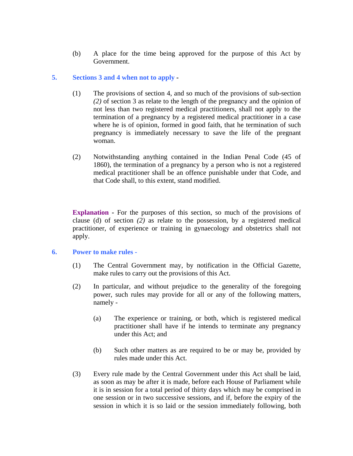(b) A place for the time being approved for the purpose of this Act by Government.

## **5. Sections 3 and 4 when not to apply -**

- (1) The provisions of section 4, and so much of the provisions of sub-section *(2)* of section 3 as relate to the length of the pregnancy and the opinion of not less than two registered medical practitioners, shall not apply to the termination of a pregnancy by a registered medical practitioner in a case where he is of opinion, formed in good faith, that he termination of such pregnancy is immediately necessary to save the life of the pregnant woman.
- (2) Notwithstanding anything contained in the Indian Penal Code (45 of 1860), the termination of a pregnancy by a person who is not a registered medical practitioner shall be an offence punishable under that Code, and that Code shall, to this extent, stand modified.

**Explanation -** For the purposes of this section, so much of the provisions of clause (d) of section *(2)* as relate to the possession, by a registered medical practitioner, of experience or training in gynaecology and obstetrics shall not apply.

## **6. Power to make rules -**

- (1) The Central Government may, by notification in the Official Gazette, make rules to carry out the provisions of this Act.
- (2) In particular, and without prejudice to the generality of the foregoing power, such rules may provide for all or any of the following matters, namely -
	- (a) The experience or training, or both, which is registered medical practitioner shall have if he intends to terminate any pregnancy under this Act; and
	- (b) Such other matters as are required to be or may be, provided by rules made under this Act.
- (3) Every rule made by the Central Government under this Act shall be laid, as soon as may be after it is made, before each House of Parliament while it is in session for a total period of thirty days which may be comprised in one session or in two successive sessions, and if, before the expiry of the session in which it is so laid or the session immediately following, both